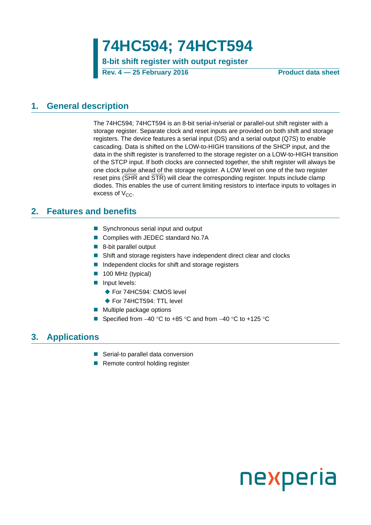**74HC594; 74HCT594**

**8-bit shift register with output register**

**Rev. 4 — 25 February 2016 Product data sheet**

### <span id="page-0-0"></span>**1. General description**

The 74HC594; 74HCT594 is an 8-bit serial-in/serial or parallel-out shift register with a storage register. Separate clock and reset inputs are provided on both shift and storage registers. The device features a serial input (DS) and a serial output (Q7S) to enable cascading. Data is shifted on the LOW-to-HIGH transitions of the SHCP input, and the data in the shift register is transferred to the storage register on a LOW-to-HIGH transition of the STCP input. If both clocks are connected together, the shift register will always be one clock pulse ahead of the storage register. A LOW level on one of the two register reset pins (SHR and STR) will clear the corresponding register. Inputs include clamp diodes. This enables the use of current limiting resistors to interface inputs to voltages in excess of  $V_{CC}$ .

### <span id="page-0-1"></span>**2. Features and benefits**

- Synchronous serial input and output
- Complies with JEDEC standard No.7A
- 8-bit parallel output
- Shift and storage registers have independent direct clear and clocks
- Independent clocks for shift and storage registers
- 100 MHz (typical)
- **Input levels:** 
	- ◆ For 74HC594: CMOS level
	- ◆ For 74HCT594: TTL level
- **Multiple package options**
- Specified from  $-40$  °C to  $+85$  °C and from  $-40$  °C to  $+125$  °C

### <span id="page-0-2"></span>**3. Applications**

- Serial-to parallel data conversion
- Remote control holding register

# nexperia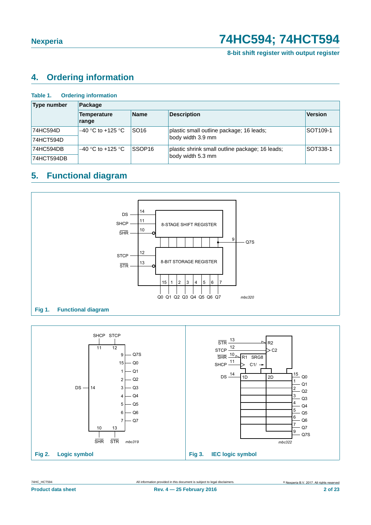**8-bit shift register with output register**

### <span id="page-1-1"></span>**4. Ordering information**

<span id="page-1-0"></span>

| Table 1.           | <b>Ordering information</b> |                    |                                                 |                      |  |  |  |  |  |  |
|--------------------|-----------------------------|--------------------|-------------------------------------------------|----------------------|--|--|--|--|--|--|
| <b>Type number</b> | Package                     |                    |                                                 |                      |  |  |  |  |  |  |
|                    | <b>Temperature</b><br>range | <b>Name</b>        | <b>Description</b>                              | <b>Version</b>       |  |  |  |  |  |  |
| 74HC594D           | $-40$ °C to +125 °C         | SO <sub>16</sub>   | plastic small outline package; 16 leads;        | SOT <sub>109-1</sub> |  |  |  |  |  |  |
| 74HCT594D          |                             |                    | body width 3.9 mm                               |                      |  |  |  |  |  |  |
| 74HC594DB          | $-40$ °C to +125 °C         | SSOP <sub>16</sub> | plastic shrink small outline package; 16 leads; | SOT338-1             |  |  |  |  |  |  |
| 74HCT594DB         |                             |                    | body width 5.3 mm                               |                      |  |  |  |  |  |  |

### <span id="page-1-2"></span>**5. Functional diagram**



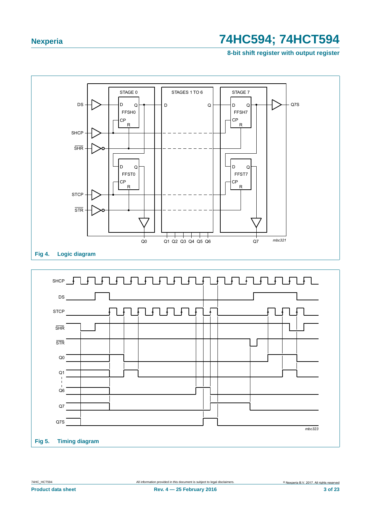**8-bit shift register with output register**



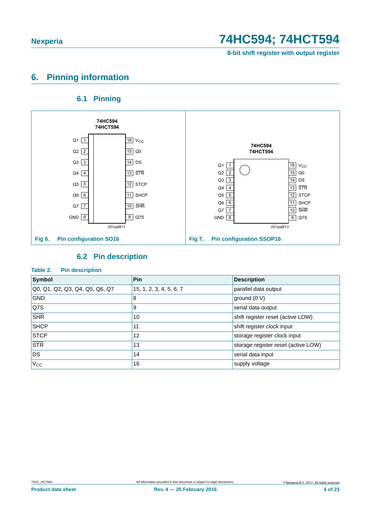**8-bit shift register with output register**

## <span id="page-3-0"></span>**6. Pinning information**

### **6.1 Pinning**

<span id="page-3-1"></span>

### **6.2 Pin description**

#### <span id="page-3-2"></span>**Table 2. Pin description**

| Symbol                         | <b>Pin</b>              | <b>Description</b>                  |
|--------------------------------|-------------------------|-------------------------------------|
| Q0, Q1, Q2, Q3, Q4, Q5, Q6, Q7 | 15, 1, 2, 3, 4, 5, 6, 7 | parallel data output                |
| <b>GND</b>                     | 8                       | ground $(0 V)$                      |
| Q7S                            | 9                       | serial data output                  |
| $\overline{\text{SHR}}$        | 10                      | shift register reset (active LOW)   |
| <b>SHCP</b>                    | 11                      | shift register clock input          |
| <b>STCP</b>                    | 12 <sup>2</sup>         | storage register clock input        |
| $\overline{\text{STR}}$        | 13                      | storage register reset (active LOW) |
| DS                             | 14                      | serial data input                   |
| $V_{\rm CC}$                   | 16                      | supply voltage                      |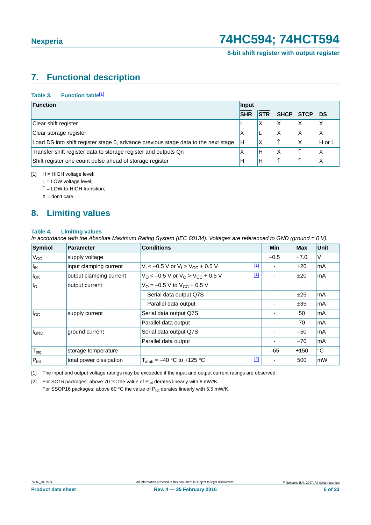**8-bit shift register with output register**

## <span id="page-4-3"></span>**7. Functional description**

#### Table 3. Function table<sup>[1]</sup>

| <b>Function</b>                                                                    | Input      |            |             |             |            |  |
|------------------------------------------------------------------------------------|------------|------------|-------------|-------------|------------|--|
|                                                                                    | <b>SHR</b> | <b>STR</b> | <b>SHCP</b> | <b>STCP</b> | <b>DS</b>  |  |
| Clear shift register                                                               |            | х          | X           | ⋏           | Χ          |  |
| Clear storage register                                                             | ⋏          |            | х           | ⋏           | Χ          |  |
| Load DS into shift register stage 0, advance previous stage data to the next stage | H          |            |             | ∧           | $H$ or $I$ |  |
| Transfer shift register data to storage register and outputs Qn                    |            | н          | X           |             | Χ          |  |
| Shift register one count pulse ahead of storage register                           | н          | н          |             |             | Χ          |  |

<span id="page-4-0"></span> $[1]$  H = HIGH voltage level;

L = LOW voltage level;

 $\uparrow$  = LOW-to-HIGH transition;

 $X =$  don't care.

### <span id="page-4-4"></span>**8. Limiting values**

#### **Table 4. Limiting values**

*In accordance with the Absolute Maximum Rating System (IEC 60134). Voltages are referenced to GND (ground = 0 V).*

| Symbol                     | <b>Parameter</b>        | <b>Conditions</b>                                          |       | <b>Min</b> | <b>Max</b> | <b>Unit</b> |
|----------------------------|-------------------------|------------------------------------------------------------|-------|------------|------------|-------------|
| $V_{\rm CC}$               | supply voltage          |                                                            |       | $-0.5$     | $+7.0$     | V           |
| $\mathsf{I}_{\mathsf{IK}}$ | input clamping current  | $V_1$ < -0.5 V or $V_1$ > $V_{CC}$ + 0.5 V                 | $[1]$ |            | ±20        | mA          |
| $I_{OK}$                   | output clamping current | $V_{\rm O}$ < -0.5 V or $V_{\rm O}$ > $V_{\rm CC}$ + 0.5 V | $[1]$ | ٠          | ±20        | mA          |
| $I_{\rm O}$                | output current          | $V_{\Omega} = -0.5 V$ to $V_{\text{CC}} + 0.5 V$           |       |            |            |             |
|                            |                         | Serial data output Q7S                                     |       |            | ±25        | mA          |
|                            |                         | Parallel data output                                       |       |            | ±35        | mA          |
| $I_{\rm CC}$               | supply current          | Serial data output Q7S                                     |       | ۰          | 50         | mA          |
|                            |                         | Parallel data output                                       |       | ٠          | 70         | mA          |
| <b>I</b> GND               | ground current          | Serial data output Q7S                                     |       | ٠          | $-50$      | mA          |
|                            |                         | Parallel data output                                       |       |            |            |             |
| $T_{\text{stg}}$           | storage temperature     |                                                            |       | $-65$      | +150       | $^{\circ}C$ |
| $P_{\text{tot}}$           | total power dissipation | $T_{amb} = -40$ °C to +125 °C                              | $[2]$ |            | 500        | mW          |

<span id="page-4-1"></span>[1] The input and output voltage ratings may be exceeded if the input and output current ratings are observed.

<span id="page-4-2"></span>[2] For SO16 packages: above 70 °C the value of  $P_{tot}$  derates linearly with 8 mW/K.

For SSOP16 packages: above 60 °C the value of  $P_{tot}$  derates linearly with 5.5 mW/K.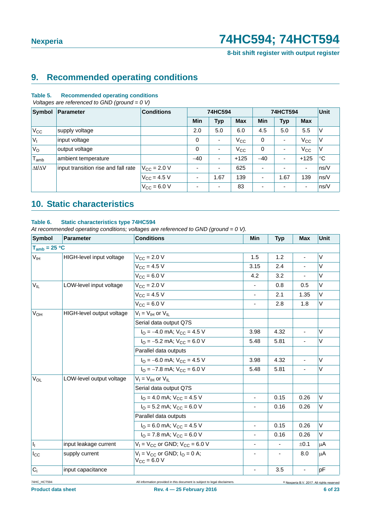**8-bit shift register with output register**

### <span id="page-5-0"></span>**9. Recommended operating conditions**

#### **Table 5. Recommended operating conditions**

 *Voltages are referenced to GND (ground = 0 V)*

| Symbol              | Parameter                           | <b>Conditions</b>    | 74HC594                  |                          |              | 74HCT594   | <b>Unit</b>              |                          |             |
|---------------------|-------------------------------------|----------------------|--------------------------|--------------------------|--------------|------------|--------------------------|--------------------------|-------------|
|                     |                                     |                      | Min                      | <b>Typ</b>               | <b>Max</b>   | <b>Min</b> | <b>Typ</b>               | <b>Max</b>               |             |
| V <sub>cc</sub>     | supply voltage                      |                      | 2.0                      | 5.0                      | 6.0          | 4.5        | 5.0                      | 5.5                      | ٧           |
| $ V_1 $             | input voltage                       |                      | 0                        | $\overline{\phantom{a}}$ | $V_{\rm CC}$ | 0          | ٠                        | $V_{\rm CC}$             | ٧           |
| V <sub>o</sub>      | output voltage                      |                      | 0                        | $\overline{\phantom{a}}$ | $V_{CC}$     | 0          | $\overline{\phantom{a}}$ | $V_{\rm CC}$             | ٧           |
| $T_{\mathsf{amb}}$  | ambient temperature                 |                      | $-40$                    | ٠                        | $+125$       | $-40$      | ٠                        | $+125$                   | $^{\circ}C$ |
| $\Delta t/\Delta V$ | input transition rise and fall rate | $V_{\rm CC}$ = 2.0 V | $\overline{\phantom{0}}$ | ٠                        | 625          |            | $\overline{\phantom{0}}$ | $\blacksquare$           | ns/V        |
|                     |                                     | $V_{\rm CC} = 4.5 V$ | ٠                        | 1.67                     | 139          | ٠          | 1.67                     | 139                      | ns/V        |
|                     |                                     | $V_{CC} = 6.0 V$     | -                        | ٠                        | 83           |            | ٠                        | $\overline{\phantom{a}}$ | ns/V        |

## <span id="page-5-1"></span>**10. Static characteristics**

#### **Table 6. Static characteristics type 74HC594**

*At recommended operating conditions; voltages are referenced to GND (ground = 0 V).*

| Symbol            | Parameter                 | <b>Conditions</b>                                                  | Min                      | <b>Typ</b>               | <b>Max</b>               | Unit    |
|-------------------|---------------------------|--------------------------------------------------------------------|--------------------------|--------------------------|--------------------------|---------|
| $T_{amb}$ = 25 °C |                           |                                                                    |                          |                          |                          |         |
| $V_{IH}$          | HIGH-level input voltage  | $V_{CC}$ = 2.0 V                                                   | 1.5                      | 1.2                      | $\blacksquare$           | $\vee$  |
|                   |                           | $V_{CC} = 4.5 V$                                                   | 3.15                     | 2.4                      | $\blacksquare$           | $\vee$  |
|                   |                           | $V_{CC} = 6.0 V$                                                   | 4.2                      | 3.2                      |                          | $\vee$  |
| $V_{IL}$          | LOW-level input voltage   | $V_{CC} = 2.0 V$                                                   |                          | 0.8                      | 0.5                      | V       |
|                   |                           | $V_{CC} = 4.5 V$                                                   | $\overline{\phantom{a}}$ | 2.1                      | 1.35                     | V       |
|                   |                           | $V_{CC} = 6.0 V$                                                   | $\blacksquare$           | 2.8                      | 1.8                      | $\vee$  |
| V <sub>OH</sub>   | HIGH-level output voltage | $V_I = V_{IH}$ or $V_{IL}$                                         |                          |                          |                          |         |
|                   |                           | Serial data output Q7S                                             |                          |                          |                          |         |
|                   |                           | $I_{\text{O}} = -4.0 \text{ mA}$ ; $V_{\text{CC}} = 4.5 \text{ V}$ | 3.98                     | 4.32                     | $\blacksquare$           | V       |
|                   |                           | $I_{\Omega} = -5.2$ mA; $V_{\text{CC}} = 6.0$ V                    | 5.48                     | 5.81                     | $\overline{\phantom{a}}$ | $\vee$  |
|                   |                           | Parallel data outputs                                              |                          |                          |                          |         |
|                   |                           | $I_{\Omega}$ = -6.0 mA; $V_{\text{CC}}$ = 4.5 V                    | 3.98                     | 4.32                     | $\overline{\phantom{a}}$ | $\vee$  |
|                   |                           | $I_{\Omega}$ = -7.8 mA; $V_{\text{CC}}$ = 6.0 V                    | 5.48                     | 5.81                     | $\blacksquare$           | V       |
| $V_{OL}$          | LOW-level output voltage  | $V_I = V_{IH}$ or $V_{IL}$                                         |                          |                          |                          |         |
|                   |                           | Serial data output Q7S                                             |                          |                          |                          |         |
|                   |                           | $IO = 4.0$ mA; $VCC = 4.5$ V                                       | $\blacksquare$           | 0.15                     | 0.26                     | $\vee$  |
|                   |                           | $IO$ = 5.2 mA; $VCC$ = 6.0 V                                       | $\blacksquare$           | 0.16                     | 0.26                     | V       |
|                   |                           | Parallel data outputs                                              |                          |                          |                          |         |
|                   |                           | $IO$ = 6.0 mA; $VCC$ = 4.5 V                                       | $\overline{\phantom{a}}$ | 0.15                     | 0.26                     | V       |
|                   |                           | $IO$ = 7.8 mA; $VCC$ = 6.0 V                                       | $\overline{\phantom{a}}$ | 0.16                     | 0.26                     | V       |
| h.                | input leakage current     | $V_1 = V_{CC}$ or GND; $V_{CC} = 6.0$ V                            | $\overline{\phantom{a}}$ | $\overline{\phantom{a}}$ | ±0.1                     | $\mu$ A |
| $I_{\rm CC}$      | supply current            | $V_1 = V_{CC}$ or GND; $I_Q = 0$ A;<br>$V_{CC} = 6.0 V$            |                          |                          | 8.0                      | μA      |
| $C_i$             | input capacitance         |                                                                    | $\overline{\phantom{a}}$ | 3.5                      | ÷,                       | pF      |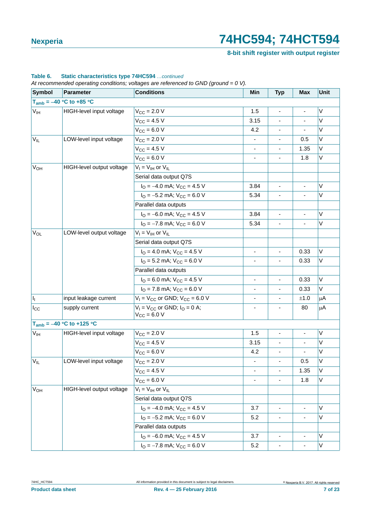**8-bit shift register with output register**

| <b>Symbol</b>         | Parameter                     | <b>Conditions</b>                                                  | Min                          | <b>Typ</b>               | Max                          | <b>Unit</b> |
|-----------------------|-------------------------------|--------------------------------------------------------------------|------------------------------|--------------------------|------------------------------|-------------|
|                       | $T_{amb} = -40$ °C to +85 °C  |                                                                    |                              |                          |                              |             |
| V <sub>IH</sub>       | HIGH-level input voltage      | $V_{CC} = 2.0 V$                                                   | 1.5                          |                          |                              | $\vee$      |
|                       |                               | $V_{\rm CC} = 4.5 V$                                               | 3.15                         |                          |                              | V           |
|                       |                               | $V_{CC}$ = 6.0 V                                                   | 4.2                          |                          |                              | V           |
| $V_{IL}$              | LOW-level input voltage       | $V_{CC} = 2.0 V$                                                   | $\overline{\phantom{a}}$     | $\blacksquare$           | 0.5                          | $\sf V$     |
|                       |                               | $V_{CC} = 4.5 V$                                                   |                              |                          | 1.35                         | $\vee$      |
|                       |                               | $V_{\rm CC} = 6.0 V$                                               | $\overline{\phantom{a}}$     | $\overline{\phantom{a}}$ | 1.8                          | $\mathsf V$ |
| $V_{OH}$              | HIGH-level output voltage     | $V_I = V_{IH}$ or $V_{IL}$                                         |                              |                          |                              |             |
|                       |                               | Serial data output Q7S                                             |                              |                          |                              |             |
|                       |                               | $I_{\text{O}} = -4.0 \text{ mA}$ ; $V_{\text{CC}} = 4.5 \text{ V}$ | 3.84                         |                          |                              | $\vee$      |
|                       |                               | $I_{\text{O}} = -5.2 \text{ mA}$ ; $V_{\text{CC}} = 6.0 \text{ V}$ | 5.34                         | $\blacksquare$           | $\blacksquare$               | $\mathsf V$ |
|                       |                               | Parallel data outputs                                              |                              |                          |                              |             |
|                       |                               | $I_{\text{O}} = -6.0 \text{ mA}$ ; $V_{\text{CC}} = 4.5 \text{ V}$ | 3.84                         |                          |                              | V           |
|                       |                               | $I_{\Omega}$ = -7.8 mA; $V_{\text{CC}}$ = 6.0 V                    | 5.34                         |                          |                              | $\vee$      |
| <b>V<sub>OL</sub></b> | LOW-level output voltage      | $V_I = V_{IH}$ or $V_{II}$                                         |                              |                          |                              |             |
|                       |                               | Serial data output Q7S                                             |                              |                          |                              |             |
|                       |                               | $IO = 4.0$ mA; $VCC = 4.5$ V                                       |                              |                          | 0.33                         | V           |
|                       |                               | $I_{\text{O}}$ = 5.2 mA; $V_{\text{CC}}$ = 6.0 V                   |                              |                          | 0.33                         | $\vee$      |
|                       |                               | Parallel data outputs                                              |                              |                          |                              |             |
|                       |                               | $IO$ = 6.0 mA; $VCC$ = 4.5 V                                       |                              | $\overline{\phantom{a}}$ | 0.33                         | $\vee$      |
|                       |                               | $IO$ = 7.8 mA; $VCC$ = 6.0 V                                       |                              | $\overline{\phantom{a}}$ | 0.33                         | V           |
| ı,                    | input leakage current         | $V_1 = V_{CC}$ or GND; $V_{CC} = 6.0$ V                            |                              |                          | ±1.0                         | μA          |
| $I_{\rm CC}$          | supply current                | $V_1 = V_{CC}$ or GND; $I_0 = 0$ A;<br>$V_{\text{CC}} = 6.0 V$     | $\qquad \qquad \blacksquare$ | $\overline{\phantom{a}}$ | 80                           | $\mu$ A     |
|                       | $T_{amb} = -40 °C$ to +125 °C |                                                                    |                              |                          |                              |             |
| V <sub>IH</sub>       | HIGH-level input voltage      | $V_{\text{CC}} = 2.0 V$                                            | 1.5                          | $\overline{\phantom{a}}$ | $\blacksquare$               | $\vee$      |
|                       |                               | $V_{CC}$ = 4.5 V                                                   | 3.15                         |                          |                              | $\vee$      |
|                       |                               | $V_{\text{CC}} = 6.0 V$                                            | 4.2                          | $\overline{\phantom{a}}$ |                              | $\vee$      |
| V <sub>IL</sub>       | LOW-level input voltage       | $V_{\text{CC}} = 2.0 V$                                            |                              |                          | 0.5                          | $\sf V$     |
|                       |                               | $V_{CC} = 4.5 V$                                                   | $\blacksquare$               | $\blacksquare$           | 1.35                         | V           |
|                       |                               | $V_{CC}$ = 6.0 V                                                   |                              |                          | 1.8                          | $\vee$      |
| V <sub>ОН</sub>       | HIGH-level output voltage     | $V_I = V_{IH}$ or $V_{IL}$                                         |                              |                          |                              |             |
|                       |                               | Serial data output Q7S                                             |                              |                          |                              |             |
|                       |                               | $IO = -4.0$ mA; $VCC = 4.5$ V                                      | 3.7                          | $\overline{\phantom{a}}$ | $\qquad \qquad \blacksquare$ | V           |
|                       |                               | $IO = -5.2$ mA; $VCC = 6.0$ V                                      | 5.2                          | $\overline{\phantom{a}}$ | ÷,                           | V           |
|                       |                               | Parallel data outputs                                              |                              |                          |                              |             |
|                       |                               | $IO = -6.0$ mA; $VCC = 4.5$ V                                      | 3.7                          |                          |                              | V           |
|                       |                               | $IO = -7.8$ mA; $VCC = 6.0$ V                                      | 5.2                          | $\overline{\phantom{a}}$ | $\overline{\phantom{a}}$     | $\sf V$     |

#### **Table 6. Static characteristics type 74HC594** *…continued*

*At recommended operating conditions; voltages are referenced to GND (ground = 0 V).*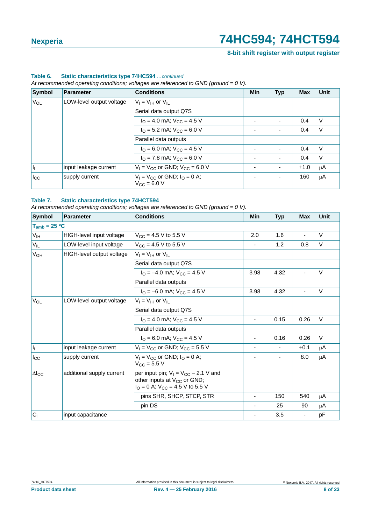**8-bit shift register with output register**

#### **Table 6. Static characteristics type 74HC594** *…continued*

*At recommended operating conditions; voltages are referenced to GND (ground = 0 V).*

| <b>Symbol</b> | <b>Parameter</b>         | <b>Conditions</b>                                       | Min | <b>Typ</b>               | <b>Max</b> | <b>Unit</b> |
|---------------|--------------------------|---------------------------------------------------------|-----|--------------------------|------------|-------------|
| $V_{OL}$      | LOW-level output voltage | $V_I = V_{IH}$ or $V_{II}$                              |     |                          |            |             |
|               |                          | Serial data output Q7S                                  |     |                          |            |             |
|               |                          | $IO = 4.0$ mA; $VCC = 4.5$ V                            |     | $\overline{\phantom{a}}$ | 0.4        | ٧           |
|               |                          | $IO$ = 5.2 mA; $VCC$ = 6.0 V                            |     |                          | 0.4        | V           |
|               |                          | Parallel data outputs                                   |     |                          |            |             |
|               |                          | $I_{\text{O}}$ = 6.0 mA; $V_{\text{CC}}$ = 4.5 V        | ٠   | $\overline{\phantom{a}}$ | 0.4        | ٧           |
|               |                          | $I_{\Omega}$ = 7.8 mA; $V_{\text{CC}}$ = 6.0 V          |     |                          | 0.4        | ٧           |
| I,            | input leakage current    | $V_1 = V_{CC}$ or GND; $V_{CC} = 6.0$ V                 |     | $\overline{\phantom{a}}$ | ±1.0       | ŀμA         |
| $I_{\rm CC}$  | supply current           | $V_1 = V_{CC}$ or GND; $I_Q = 0$ A;<br>$V_{CC}$ = 6.0 V |     | $\overline{\phantom{0}}$ | 160        | μA          |

#### **Table 7. Static characteristics type 74HCT594**

*At recommended operating conditions; voltages are referenced to GND (ground = 0 V).*

| Symbol                 | <b>Parameter</b>          | <b>Conditions</b>                                                                                                          | <b>Min</b>               | <b>Typ</b> | <b>Max</b>               | <b>Unit</b> |
|------------------------|---------------------------|----------------------------------------------------------------------------------------------------------------------------|--------------------------|------------|--------------------------|-------------|
| $T_{amb} = 25 °C$      |                           |                                                                                                                            |                          |            |                          |             |
| V <sub>IH</sub>        | HIGH-level input voltage  | $V_{CC} = 4.5 V$ to 5.5 V                                                                                                  | 2.0                      | 1.6        | $\overline{\phantom{m}}$ | V           |
| $V_{IL}$               | LOW-level input voltage   | $V_{\text{CC}} = 4.5 \text{ V}$ to 5.5 V                                                                                   | $\overline{\phantom{a}}$ | 1.2        | 0.8                      | V           |
| <b>V<sub>OH</sub></b>  | HIGH-level output voltage | $V_I = V_{IH}$ or $V_{II}$                                                                                                 |                          |            |                          |             |
|                        |                           | Serial data output Q7S                                                                                                     |                          |            |                          |             |
|                        |                           | $I_{\Omega}$ = -4.0 mA; $V_{\text{CC}}$ = 4.5 V                                                                            | 3.98                     | 4.32       |                          | V           |
|                        |                           | Parallel data outputs                                                                                                      |                          |            |                          |             |
|                        |                           | $I_{\Omega}$ = -6.0 mA; $V_{\text{CC}}$ = 4.5 V                                                                            | 3.98                     | 4.32       | $\blacksquare$           | V           |
| <b>V<sub>OL</sub></b>  | LOW-level output voltage  | $V_I = V_{IH}$ or $V_{IL}$                                                                                                 |                          |            |                          |             |
|                        |                           | Serial data output Q7S                                                                                                     |                          |            |                          |             |
|                        |                           | $I_{\Omega}$ = 4.0 mA; $V_{\text{CC}}$ = 4.5 V                                                                             | $\overline{\phantom{a}}$ | 0.15       | 0.26                     | V           |
|                        |                           | Parallel data outputs                                                                                                      |                          |            |                          |             |
|                        |                           | $I_{\Omega}$ = 6.0 mA; $V_{\text{CC}}$ = 4.5 V                                                                             | $\overline{\phantom{a}}$ | 0.16       | 0.26                     | V           |
| $\vert \vert_1$        | input leakage current     | $V_1 = V_{CC}$ or GND; $V_{CC} = 5.5$ V                                                                                    | $\overline{\phantom{a}}$ | ٠          | ±0.1                     | μA          |
| $_{\rm{lcc}}$          | supply current            | $V_1 = V_{CC}$ or GND; $I_Q = 0$ A;<br>$V_{\rm CC} = 5.5 V$                                                                |                          |            | 8.0                      | μA          |
| $\Delta l_{\text{CC}}$ | additional supply current | per input pin; $V_1 = V_{CC} - 2.1$ V and<br>other inputs at V <sub>CC</sub> or GND;<br>$IO = 0$ A; $VCC = 4.5$ V to 5.5 V |                          |            |                          |             |
|                        |                           | pins SHR, SHCP, STCP, STR                                                                                                  | $\overline{\phantom{a}}$ | 150        | 540                      | μA          |
|                        |                           | pin DS                                                                                                                     |                          | 25         | 90                       | μA          |
| $ C_i $                | input capacitance         |                                                                                                                            |                          | 3.5        | $\overline{\phantom{a}}$ | pF          |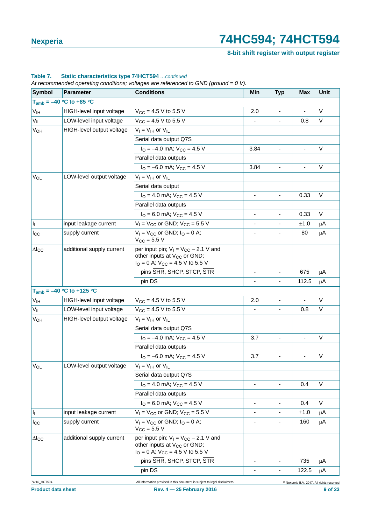**8-bit shift register with output register**

#### **Table 7. Static characteristics type 74HCT594** *…continued*

*At recommended operating conditions; voltages are referenced to GND (ground = 0 V).*

| Symbol                  | <b>Parameter</b>              | <b>Conditions</b>                                                                                                          | Min                          | <b>Typ</b>               | <b>Max</b>                   | Unit    |
|-------------------------|-------------------------------|----------------------------------------------------------------------------------------------------------------------------|------------------------------|--------------------------|------------------------------|---------|
|                         | $T_{amb} = -40 °C$ to +85 °C  |                                                                                                                            |                              |                          |                              |         |
| V <sub>IH</sub>         | HIGH-level input voltage      | $V_{CC}$ = 4.5 V to 5.5 V                                                                                                  | 2.0                          | $\blacksquare$           | ÷,                           | V       |
| $V_{IL}$                | LOW-level input voltage       | $V_{CC}$ = 4.5 V to 5.5 V                                                                                                  |                              |                          | 0.8                          | V       |
| <b>V<sub>OH</sub></b>   | HIGH-level output voltage     | $V_I = V_{IH}$ or $V_{IL}$                                                                                                 |                              |                          |                              |         |
|                         |                               | Serial data output Q7S                                                                                                     |                              |                          |                              |         |
|                         |                               | $I_{\text{O}} = -4.0 \text{ mA}$ ; $V_{\text{CC}} = 4.5 \text{ V}$                                                         | 3.84                         | $\overline{\phantom{a}}$ | $\overline{\phantom{a}}$     | V       |
|                         |                               | Parallel data outputs                                                                                                      |                              |                          |                              |         |
|                         |                               | $I_{\Omega}$ = -6.0 mA; $V_{\text{CC}}$ = 4.5 V                                                                            | 3.84                         | ä,                       | $\blacksquare$               | V       |
| $V_{OL}$                | LOW-level output voltage      | $V_I = V_{IH}$ or $V_{IL}$                                                                                                 |                              |                          |                              |         |
|                         |                               | Serial data output                                                                                                         |                              |                          |                              |         |
|                         |                               | $IO$ = 4.0 mA; $VCC$ = 4.5 V                                                                                               | $\overline{\phantom{a}}$     | $\blacksquare$           | 0.33                         | V       |
|                         |                               | Parallel data outputs                                                                                                      |                              |                          |                              |         |
|                         |                               | $I_{\Omega}$ = 6.0 mA; $V_{CC}$ = 4.5 V                                                                                    | $\overline{\phantom{a}}$     | $\overline{\phantom{a}}$ | 0.33                         | V       |
| $\vert I_1 \vert$       | input leakage current         | $V_1 = V_{CC}$ or GND; $V_{CC} = 5.5$ V                                                                                    |                              |                          | ±1.0                         | μA      |
| $I_{\rm CC}$            | supply current                | $V_1 = V_{CC}$ or GND; $I_0 = 0$ A;<br>$V_{\text{CC}} = 5.5 V$                                                             | $\qquad \qquad \blacksquare$ |                          | 80                           | $\mu$ A |
| $\Delta$ <sub>cc</sub>  | additional supply current     | per input pin; $V_1 = V_{CC} - 2.1$ V and<br>other inputs at V <sub>CC</sub> or GND;<br>$IO = 0$ A; $VCC = 4.5$ V to 5.5 V |                              |                          |                              |         |
|                         |                               | pins SHR, SHCP, STCP, STR                                                                                                  |                              | $\blacksquare$           | 675                          | $\mu$ A |
|                         |                               | pin DS                                                                                                                     |                              | $\blacksquare$           | 112.5                        | μA      |
|                         | $T_{amb} = -40 °C$ to +125 °C |                                                                                                                            |                              |                          |                              |         |
| $V_{\rm IH}$            | HIGH-level input voltage      | $V_{CC}$ = 4.5 V to 5.5 V                                                                                                  | 2.0                          | $\blacksquare$           |                              | V       |
| $V_{IL}$                | LOW-level input voltage       | $V_{CC}$ = 4.5 V to 5.5 V                                                                                                  |                              |                          | 0.8                          | V       |
| V <sub>OH</sub>         | HIGH-level output voltage     | $V_I = V_{IH}$ or $V_{IL}$                                                                                                 |                              |                          |                              |         |
|                         |                               | Serial data output Q7S                                                                                                     |                              |                          |                              |         |
|                         |                               | $I_{\Omega} = -4.0$ mA; $V_{\text{CC}} = 4.5$ V                                                                            | 3.7                          | $\overline{\phantom{a}}$ | $\blacksquare$               | V       |
|                         |                               | Parallel data outputs                                                                                                      |                              |                          |                              |         |
|                         |                               | $I_{\text{O}} = -6.0$ mA; $V_{\text{CC}} = 4.5$ V                                                                          | 3.7                          | $\blacksquare$           | $\qquad \qquad \blacksquare$ | V       |
| $\bar{V}_{OL}$          | LOW-level output voltage      | $V_I = V_{IH}$ or $V_{IL}$                                                                                                 |                              |                          |                              |         |
|                         |                               | Serial data output Q7S                                                                                                     |                              |                          |                              |         |
|                         |                               | $IO = 4.0$ mA; $VCC = 4.5$ V                                                                                               | $\blacksquare$               | ä,                       | 0.4                          | V       |
|                         |                               | Parallel data outputs                                                                                                      |                              |                          |                              |         |
|                         |                               | $IO = 6.0$ mA; $VCC = 4.5$ V                                                                                               |                              | $\overline{\phantom{a}}$ | 0.4                          | V       |
| h,                      | input leakage current         | $V_1 = V_{CC}$ or GND; $V_{CC} = 5.5$ V                                                                                    | -                            | $\overline{\phantom{a}}$ | ±1.0                         | $\mu$ A |
| $I_{\rm CC}$            | supply current                | $V_1 = V_{CC}$ or GND; $I_0 = 0$ A;<br>$V_{CC}$ = 5.5 V                                                                    |                              |                          | 160                          | μA      |
| $\Delta\mathsf{l_{CC}}$ | additional supply current     | per input pin; $V_1 = V_{CC} - 2.1$ V and<br>other inputs at V <sub>CC</sub> or GND;<br>$IO = 0$ A; $VCC = 4.5$ V to 5.5 V |                              |                          |                              |         |
|                         |                               | pins SHR, SHCP, STCP, STR                                                                                                  | -                            | $\blacksquare$           | 735                          | μA      |
|                         |                               | pin DS                                                                                                                     |                              | $\blacksquare$           | 122.5                        | μA      |

© Nexperia B.V. 2017. All rights reserved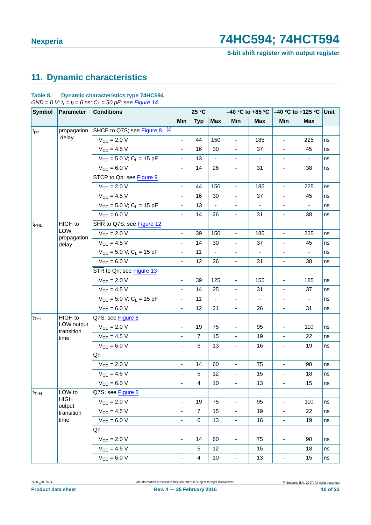**8-bit shift register with output register**

### <span id="page-9-0"></span>**11. Dynamic characteristics**

#### **Table 8. Dynamic characteristics type 74HC594**

 $GND = 0$  V;  $t_r = t_f = 6$  ns;  $C_L = 50$  pF; see [Figure 14.](#page-16-0)

| <b>Symbol</b><br>Parameter |                             | <b>Conditions</b>                        |                              | 25 °C          |                          |                          |                | $-40$ °C to +85 °C $ -40$ °C to +125 °C $ $ Unit |                              |    |
|----------------------------|-----------------------------|------------------------------------------|------------------------------|----------------|--------------------------|--------------------------|----------------|--------------------------------------------------|------------------------------|----|
|                            |                             |                                          | Min                          | <b>Typ</b>     | <b>Max</b>               | Min                      | <b>Max</b>     | Min                                              | <b>Max</b>                   |    |
| $t_{\rm pd}$               | propagation                 | $\boxed{1}$<br>SHCP to Q7S; see Figure 8 |                              |                |                          |                          |                |                                                  |                              |    |
|                            | delay                       | $V_{\text{CC}} = 2.0 V$                  | $\qquad \qquad \blacksquare$ | 44             | 150                      | $\overline{\phantom{a}}$ | 185            | $\blacksquare$                                   | 225                          | ns |
|                            |                             | $V_{CC}$ = 4.5 V                         |                              | 16             | 30                       |                          | 37             |                                                  | 45                           | ns |
|                            |                             | $V_{CC}$ = 5.0 V; C <sub>L</sub> = 15 pF | ٠                            | 13             | $\overline{\phantom{a}}$ | $\overline{\phantom{a}}$ | $\blacksquare$ | -                                                | $\qquad \qquad \blacksquare$ | ns |
|                            |                             | $V_{\text{CC}} = 6.0 V$                  |                              | 14             | 26                       |                          | 31             |                                                  | 38                           | ns |
|                            |                             | STCP to Qn; see Figure 9                 |                              |                |                          |                          |                |                                                  |                              |    |
|                            |                             | $V_{\text{CC}} = 2.0 V$                  | ÷,                           | 44             | 150                      |                          | 185            |                                                  | 225                          | ns |
|                            |                             | $V_{CC}$ = 4.5 V                         | $\qquad \qquad \blacksquare$ | 16             | 30                       | $\blacksquare$           | 37             | $\qquad \qquad \blacksquare$                     | 45                           | ns |
|                            |                             | $V_{CC}$ = 5.0 V; C <sub>L</sub> = 15 pF | ٠                            | 13             |                          |                          |                |                                                  |                              | ns |
|                            |                             | $V_{\text{CC}} = 6.0 V$                  | $\overline{\phantom{0}}$     | 14             | 26                       | $\overline{\phantom{a}}$ | 31             | $\qquad \qquad \blacksquare$                     | 38                           | ns |
| t <sub>PHL</sub>           | HIGH to                     | SHR to Q7S; see Figure 12                |                              |                |                          |                          |                |                                                  |                              |    |
|                            | LOW<br>propagation<br>delay | $V_{CC}$ = 2.0 V                         | $\overline{\phantom{0}}$     | 39             | 150                      | $\blacksquare$           | 185            | $\qquad \qquad \blacksquare$                     | 225                          | ns |
|                            |                             | $V_{CC} = 4.5 V$                         |                              | 14             | 30                       |                          | 37             |                                                  | 45                           | ns |
|                            |                             | $V_{CC}$ = 5.0 V; C <sub>L</sub> = 15 pF |                              | 11             | $\overline{\phantom{a}}$ | $\blacksquare$           | $\blacksquare$ | $\blacksquare$                                   | $\frac{1}{2}$                | ns |
|                            |                             | $V_{CC} = 6.0 V$                         | ÷,                           | 12             | 26                       |                          | 31             |                                                  | 38                           | ns |
|                            |                             | STR to Qn; see Figure 13                 |                              |                |                          |                          |                |                                                  |                              |    |
|                            |                             | $V_{CC} = 2.0 V$                         | ٠                            | 39             | 125                      |                          | 155            | $\overline{\phantom{0}}$                         | 185                          | ns |
|                            |                             | $V_{CC}$ = 4.5 V                         | $\qquad \qquad \blacksquare$ | 14             | 25                       | $\overline{\phantom{a}}$ | 31             | $\qquad \qquad \blacksquare$                     | 37                           | ns |
|                            |                             | $V_{CC}$ = 5.0 V; C <sub>L</sub> = 15 pF | ٠                            | 11             |                          |                          |                |                                                  |                              | ns |
|                            |                             | $V_{CC} = 6.0 V$                         | $\qquad \qquad \blacksquare$ | 12             | 21                       | $\blacksquare$           | 26             | $\overline{\phantom{0}}$                         | 31                           | ns |
| t <sub>THL</sub>           | HIGH to                     | Q7S; see Figure 8                        |                              |                |                          |                          |                |                                                  |                              |    |
|                            | LOW output<br>transition    | $V_{CC} = 2.0 V$                         | $\frac{1}{2}$                | 19             | 75                       | $\blacksquare$           | 95             | $\blacksquare$                                   | 110                          | ns |
|                            | time                        | $V_{\text{CC}} = 4.5 V$                  |                              | $\overline{7}$ | 15                       |                          | 19             |                                                  | 22                           | ns |
|                            |                             | $V_{CC} = 6.0 V$                         | $\frac{1}{2}$                | 6              | 13                       | $\overline{\phantom{a}}$ | 16             | $\blacksquare$                                   | 19                           | ns |
|                            |                             | Qn                                       |                              |                |                          |                          |                |                                                  |                              |    |
|                            |                             | $V_{\text{CC}} = 2.0 V$                  | $\qquad \qquad \blacksquare$ | 14             | 60                       | $\blacksquare$           | 75             | $\qquad \qquad \blacksquare$                     | 90                           | ns |
|                            |                             | $V_{CC}$ = 4.5 V                         |                              | 5              | 12                       |                          | 15             |                                                  | 18                           | ns |
|                            |                             | $V_{CC}$ = 6.0 V                         |                              | 4              | 10                       | $\blacksquare$           | 13             | $\overline{\phantom{a}}$                         | 15                           | ns |
| $t_{\text{TLH}}$           | LOW to                      | Q7S; see Figure 8                        |                              |                |                          |                          |                |                                                  |                              |    |
|                            | <b>HIGH</b><br>output       | $V_{\text{CC}} = 2.0 V$                  | $\overline{\phantom{0}}$     | 19             | 75                       | $\blacksquare$           | 95             | $\blacksquare$                                   | 110                          | ns |
|                            | transition                  | $V_{CC}$ = 4.5 V                         |                              | $\overline{7}$ | 15                       |                          | 19             | $\blacksquare$                                   | 22                           | ns |
|                            | time                        | $V_{CC} = 6.0 V$                         | $\qquad \qquad \blacksquare$ | 6              | 13                       | $\blacksquare$           | 16             | $\blacksquare$                                   | 19                           | ns |
|                            |                             | Qn                                       |                              |                |                          |                          |                |                                                  |                              |    |
|                            |                             | $V_{\text{CC}} = 2.0 V$                  | $\overline{\phantom{0}}$     | 14             | 60                       | $\blacksquare$           | 75             | $\overline{\phantom{0}}$                         | 90                           | ns |
|                            |                             | $V_{CC} = 4.5 V$                         |                              | 5              | 12                       |                          | 15             |                                                  | 18                           | ns |
|                            |                             | $V_{CC}$ = 6.0 V                         | $\qquad \qquad \blacksquare$ | $\overline{4}$ | 10                       | $\blacksquare$           | 13             | $\qquad \qquad \blacksquare$                     | 15                           | ns |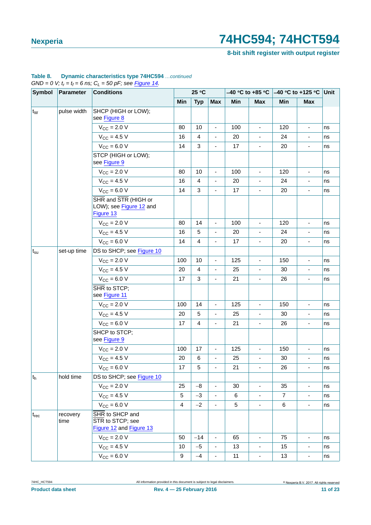**8-bit shift register with output register**

|              |                  | GND = 0 V; $t_r = t_f = 6$ ns; $C_L = 50$ pF; see Figure 14.   |                |                |                              |     |                              |                |                                         |           |
|--------------|------------------|----------------------------------------------------------------|----------------|----------------|------------------------------|-----|------------------------------|----------------|-----------------------------------------|-----------|
| Symbol       | Parameter        | <b>Conditions</b>                                              |                | 25 °C          |                              |     |                              |                | $-40$ °C to +85 °C $ -40$ °C to +125 °C | Unit      |
|              |                  |                                                                | Min            | <b>Typ</b>     | <b>Max</b>                   | Min | <b>Max</b>                   | Min            | <b>Max</b>                              |           |
| $_{\rm tw}$  | pulse width      | SHCP (HIGH or LOW);<br>see Figure 8                            |                |                |                              |     |                              |                |                                         |           |
|              |                  | $V_{\text{CC}} = 2.0 V$                                        | 80             | 10             | $\overline{\phantom{0}}$     | 100 | ä,                           | 120            | ÷,                                      | ns        |
|              |                  | $V_{\text{CC}} = 4.5 V$                                        | 16             | 4              | -                            | 20  | $\overline{\phantom{a}}$     | 24             | ٠                                       | ns        |
|              |                  | $V_{\text{CC}} = 6.0 V$                                        | 14             | $\mathbf{3}$   |                              | 17  |                              | 20             |                                         | ns        |
|              |                  | STCP (HIGH or LOW);<br>see Figure 9                            |                |                |                              |     |                              |                |                                         |           |
|              |                  | $V_{\text{CC}} = 2.0 V$                                        | 80             | 10             | $\blacksquare$               | 100 | ä,                           | 120            | $\frac{1}{2}$                           | ns        |
|              |                  | $V_{\text{CC}} = 4.5 V$                                        | 16             | 4              | ÷,                           | 20  | $\overline{\phantom{a}}$     | 24             | $\qquad \qquad \blacksquare$            | ns        |
|              |                  | $V_{CC} = 6.0 V$                                               | 14             | 3              | ÷,                           | 17  | $\blacksquare$               | 20             | $\blacksquare$                          | ns        |
|              |                  | SHR and STR (HIGH or<br>LOW); see Figure 12 and<br>Figure 13   |                |                |                              |     |                              |                |                                         |           |
|              |                  | $V_{\text{CC}} = 2.0 V$                                        | 80             | 14             | $\overline{\phantom{a}}$     | 100 | $\blacksquare$               | 120            | $\qquad \qquad \blacksquare$            | ns        |
|              |                  | $V_{\text{CC}} = 4.5 V$                                        | 16             | 5              | $\overline{\phantom{0}}$     | 20  |                              | 24             | ä,                                      | ns        |
|              |                  | $V_{CC} = 6.0 V$                                               | 14             | $\overline{4}$ | ÷,                           | 17  | $\frac{1}{2}$                | 20             | $\blacksquare$                          | ns        |
| $t_{\rm su}$ | set-up time      | DS to SHCP; see Figure 10                                      |                |                |                              |     |                              |                |                                         |           |
|              |                  | $V_{\text{CC}} = 2.0 V$                                        | 100            | 10             | $\blacksquare$               | 125 | $\blacksquare$               | 150            | $\qquad \qquad \blacksquare$            | ns        |
|              |                  | $V_{CC}$ = 4.5 V                                               | 20             | $\overline{4}$ |                              | 25  |                              | 30             |                                         | ns        |
|              |                  | $V_{CC} = 6.0 V$                                               | 17             | 3              | $\qquad \qquad \blacksquare$ | 21  |                              | 26             | $\qquad \qquad \blacksquare$            | ns        |
|              |                  | SHR to STCP;<br>see Figure 11                                  |                |                |                              |     |                              |                |                                         |           |
|              |                  | $V_{\text{CC}} = 2.0 V$                                        | 100            | 14             | $\overline{\phantom{a}}$     | 125 | $\blacksquare$               | 150            | $\frac{1}{2}$                           | ns        |
|              |                  | $V_{CC} = 4.5 V$                                               | 20             | 5              | $\overline{\phantom{0}}$     | 25  | $\blacksquare$               | 30             | $\blacksquare$                          | ns        |
|              |                  | $V_{CC} = 6.0 V$                                               | 17             | 4              | $\qquad \qquad \blacksquare$ | 21  | $\blacksquare$               | 26             | ÷                                       | ns        |
|              |                  | SHCP to STCP;<br>see Figure 9                                  |                |                |                              |     |                              |                |                                         |           |
|              |                  | $V_{\text{CC}} = 2.0 V$                                        | 100            | 17             |                              | 125 | $\blacksquare$               | 150            |                                         | ns        |
|              |                  | $V_{CC} = 4.5 V$                                               | 20             | 6              |                              | 25  |                              | 30             |                                         | $\sf{ns}$ |
|              |                  | $V_{CC}$ = 6.0 V                                               | 17             | 5              | $\frac{1}{2}$                | 21  | ÷,                           | 26             |                                         | ns        |
| $ t_h $      | hold time        | DS to SHCP; see Figure 10                                      |                |                |                              |     |                              |                |                                         |           |
|              |                  | $V_{\text{CC}} = 2.0 V$                                        | 25             | $-8$           |                              | 30  | $\blacksquare$               | 35             |                                         | ns        |
|              |                  | $V_{CC} = 4.5 V$                                               | 5              | $-3$           | $\overline{\phantom{a}}$     | 6   | $\blacksquare$               | $\overline{7}$ |                                         | ns        |
|              |                  | $V_{CC} = 6.0 V$                                               | $\overline{4}$ | $-2$           |                              | 5   |                              | $\,6$          |                                         | ns        |
| $t_{rec}$    | recovery<br>time | SHR to SHCP and<br>STR to STCP; see<br>Figure 12 and Figure 13 |                |                |                              |     |                              |                |                                         |           |
|              |                  | $V_{CC}$ = 2.0 V                                               | 50             | $-14$          | $\overline{\phantom{a}}$     | 65  | $\blacksquare$               | 75             | $\blacksquare$                          | ns        |
|              |                  | $V_{CC}$ = 4.5 V                                               | 10             | $-5$           | -                            | 13  | $\qquad \qquad \blacksquare$ | 15             | -                                       | ns        |
|              |                  | $V_{CC} = 6.0 V$                                               | 9              | $-4$           | $\overline{\phantom{a}}$     | 11  | $\overline{\phantom{a}}$     | 13             | $\frac{1}{2}$                           | ns        |

#### **Table 8. Dynamic characteristics type 74HC594** *…continued*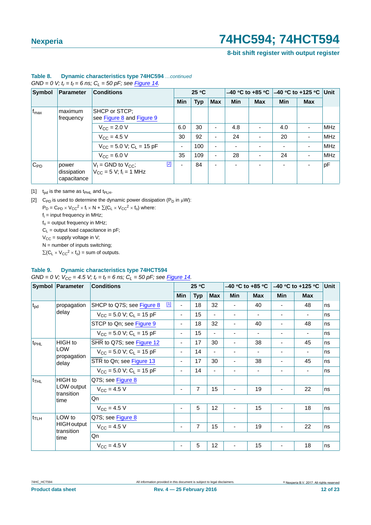**8-bit shift register with output register**

|                  |                                     | GND = 0 V; $t_r = t_f = 6$ ns; $C_l = 50$ pF; see Figure 14.                  |                          |            |                          |            |            |                                              |                |            |
|------------------|-------------------------------------|-------------------------------------------------------------------------------|--------------------------|------------|--------------------------|------------|------------|----------------------------------------------|----------------|------------|
| Symbol           | <b>Parameter</b>                    | <b>Conditions</b>                                                             | 25 °C                    |            |                          |            |            | $-40$ °C to +85 °C $ -40$ °C to +125 °C Unit |                |            |
|                  |                                     |                                                                               | Min                      | <b>Typ</b> | <b>Max</b>               | <b>Min</b> | <b>Max</b> | <b>Min</b>                                   | <b>Max</b>     |            |
| $f_{\text{max}}$ | maximum<br>frequency                | SHCP or STCP:<br>see Figure 8 and Figure 9                                    |                          |            |                          |            |            |                                              |                |            |
|                  |                                     | $V_{\rm CC} = 2.0 V$                                                          | 6.0                      | 30         | ۰                        | 4.8        | ٠          | 4.0                                          | $\blacksquare$ | <b>MHz</b> |
|                  |                                     | $V_{CC} = 4.5 V$                                                              | 30                       | 92         | ۰                        | 24         | ٠          | 20                                           | $\blacksquare$ | <b>MHz</b> |
|                  |                                     | $V_{CC}$ = 5.0 V; C <sub>L</sub> = 15 pF                                      | $\blacksquare$           | 100        |                          |            |            |                                              | $\blacksquare$ | <b>MHz</b> |
|                  |                                     | $V_{\text{CC}} = 6.0 V$                                                       | 35                       | 109        | $\overline{\phantom{0}}$ | 28         | ۰          | 24                                           | ٠              | <b>MHz</b> |
| $C_{PD}$         | power<br>dissipation<br>capacitance | $[2]$<br>$V_1$ = GND to $V_{CC}$ ;<br>$V_{CC} = 5 V$ ; f <sub>i</sub> = 1 MHz | $\overline{\phantom{0}}$ | 84         |                          |            |            |                                              |                | pF         |

#### **Table 8. Dynamic characteristics type 74HC594** *…continued*

<span id="page-11-0"></span>[1]  $t_{pd}$  is the same as  $t_{PHL}$  and  $t_{PLH}$ .

<span id="page-11-1"></span>[2] C<sub>PD</sub> is used to determine the dynamic power dissipation (P<sub>D</sub> in  $\mu$ W):

 $P_D = C_{PD} \times V_{CC}^2 \times f_i \times N + \Sigma (C_L \times V_{CC}^2 \times f_o)$  where:

 $f_i$  = input frequency in MHz;

 $f_0$  = output frequency in MHz;

 $C_L$  = output load capacitance in pF;

 $V_{CC}$  = supply voltage in V;

 $N =$  number of inputs switching;

 $\sum(C_L \times V_{CC}^2 \times f_0)$  = sum of outputs.

#### **Table 9. Dynamic characteristics type 74HCT594**

 $GND = 0$  V;  $V_{CC} = 4.5$  V;  $t_r = t_f = 6$  ns;  $C_L = 50$  pF; see *Figure 14.* 

|                  | Symbol Parameter                            | <b>Conditions</b>                        |                          | 25 °C          |                          | $-40$ °C to +85 °C       |            | $-40$ °C to +125 °C      |            | Unit |
|------------------|---------------------------------------------|------------------------------------------|--------------------------|----------------|--------------------------|--------------------------|------------|--------------------------|------------|------|
|                  |                                             |                                          | <b>Min</b>               | <b>Typ</b>     | <b>Max</b>               | <b>Min</b>               | <b>Max</b> | Min                      | <b>Max</b> |      |
| t <sub>pd</sub>  | propagation                                 | $\boxed{1}$<br>SHCP to Q7S; see Figure 8 | $\overline{\phantom{a}}$ | 18             | 32                       | ٠                        | 40         | $\overline{\phantom{a}}$ | 48         | ns   |
|                  | delay                                       | $V_{CC}$ = 5.0 V; C <sub>L</sub> = 15 pF | $\overline{\phantom{a}}$ | 15             | $\overline{\phantom{a}}$ | ٠                        | ٠          | $\overline{\phantom{a}}$ | -          | ns   |
|                  |                                             | STCP to Qn; see Figure 9                 | $\overline{\phantom{a}}$ | 18             | 32                       | ٠                        | 40         | $\overline{\phantom{a}}$ | 48         | ns   |
|                  |                                             | $V_{CC}$ = 5.0 V; C <sub>L</sub> = 15 pF | $\overline{\phantom{a}}$ | 15             | $\overline{\phantom{a}}$ | $\blacksquare$           | ۰          | $\overline{\phantom{a}}$ |            | ns   |
| t <sub>PHL</sub> | HIGH to                                     | SHR to Q7S; see Figure 12                | -                        | 17             | 30                       | ٠                        | 38         | $\overline{\phantom{a}}$ | 45         | ns   |
|                  | <b>LOW</b><br>propagation<br>delay          | $V_{CC}$ = 5.0 V; C <sub>L</sub> = 15 pF | ٠                        | 14             | $\blacksquare$           |                          |            |                          |            | ns   |
|                  |                                             | STR to Qn; see Figure 13                 | $\overline{\phantom{a}}$ | 17             | 30                       | ٠                        | 38         |                          | 45         | ns   |
|                  |                                             | $V_{CC}$ = 5.0 V; C <sub>L</sub> = 15 pF | $\overline{\phantom{a}}$ | 14             | ٠                        | ٠                        |            |                          |            | ns   |
| t <sub>THL</sub> | HIGH to<br>LOW output<br>transition<br>time | Q7S; see Figure 8                        |                          |                |                          |                          |            |                          |            |      |
|                  |                                             | $V_{CC}$ = 4.5 V                         | $\overline{\phantom{a}}$ | $\overline{7}$ | 15                       | $\overline{\phantom{a}}$ | 19         | $\overline{\phantom{a}}$ | 22         | ns   |
|                  |                                             | Qn                                       |                          |                |                          |                          |            |                          |            |      |
|                  |                                             | $V_{\text{CC}} = 4.5 \text{ V}$          | $\blacksquare$           | 5              | 12                       | $\overline{a}$           | 15         |                          | 18         | ns   |
| $t_{\text{TLH}}$ | LOW to                                      | Q7S; see Figure 8                        |                          |                |                          |                          |            |                          |            |      |
|                  | <b>HIGH</b> output<br>transition            | $V_{\text{CC}} = 4.5 V$                  | $\overline{\phantom{a}}$ | 7              | 15                       | ٠                        | 19         |                          | 22         | ns   |
|                  | time                                        | Qn                                       |                          |                |                          |                          |            |                          |            |      |
|                  |                                             | $V_{CC} = 4.5 V$                         | ٠                        | 5              | 12                       | ٠                        | 15         | $\overline{\phantom{a}}$ | 18         | ns   |

© Nexperia B.V. 2017. All rights reserved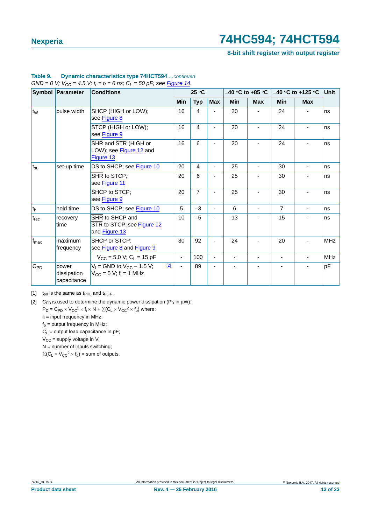**8-bit shift register with output register**

|                  | Symbol Parameter                    | <b>Conditions</b>                                                                    | 25 °C                    |                |                          | $-40$ °C to +85 °C |            | $-40$ °C to +125 °C |            | Unit       |
|------------------|-------------------------------------|--------------------------------------------------------------------------------------|--------------------------|----------------|--------------------------|--------------------|------------|---------------------|------------|------------|
|                  |                                     |                                                                                      | Min                      | <b>Typ</b>     | <b>Max</b>               | <b>Min</b>         | <b>Max</b> | <b>Min</b>          | <b>Max</b> |            |
| $t_W$            | pulse width                         | SHCP (HIGH or LOW);<br>see Figure 8                                                  | 16                       | 4              |                          | 20                 |            | 24                  |            | ns         |
|                  |                                     | STCP (HIGH or LOW);<br>see Figure 9                                                  | 16                       | 4              |                          | 20                 |            | 24                  |            | ns         |
|                  |                                     | SHR and STR (HIGH or<br>LOW); see Figure 12 and<br>Figure 13                         | 16                       | 6              |                          | 20                 |            | 24                  |            | ns         |
| $t_{\rm su}$     | set-up time                         | DS to SHCP; see Figure 10                                                            | 20                       | 4              | $\blacksquare$           | 25                 | ä,         | 30                  | ٠          | ns         |
|                  |                                     | SHR to STCP;<br>see Figure 11                                                        | 20                       | 6              |                          | 25                 |            | 30                  |            | ns         |
|                  |                                     | SHCP to STCP;<br>see Figure 9                                                        | 20                       | $\overline{7}$ |                          | 25                 |            | 30                  |            | ns         |
| $t_{h}$          | hold time                           | DS to SHCP; see Figure 10                                                            | 5                        | $-3$           | $\overline{a}$           | 6                  |            | $\overline{7}$      |            | ns         |
| $t_{rec}$        | recovery<br>time                    | SHR to SHCP and<br>STR to STCP; see Figure 12<br>and Figure 13                       | 10                       | $-5$           |                          | 13                 |            | 15                  |            | ns         |
| $f_{\text{max}}$ | maximum<br>frequency                | SHCP or STCP;<br>see Figure 8 and Figure 9                                           | 30                       | 92             | L                        | 24                 |            | 20                  |            | <b>MHz</b> |
|                  |                                     | $V_{CC}$ = 5.0 V; C <sub>L</sub> = 15 pF                                             | $\overline{\phantom{a}}$ | 100            | $\overline{\phantom{a}}$ | ٠                  | ٠          |                     | ٠          | <b>MHz</b> |
| $C_{PD}$         | power<br>dissipation<br>capacitance | $[2]$<br>$V_1$ = GND to $V_{CC}$ – 1.5 V;<br>$V_{CC} = 5 V$ ; f <sub>i</sub> = 1 MHz | $\overline{\phantom{a}}$ | 89             |                          |                    |            |                     |            | pF         |

#### **Table 9. Dynamic characteristics type 74HCT594** *…continued*

 $GND = 0$  V;  $V_{CC} = 4.5$  V;  $t_r = t_f = 6$  ns;  $C_L = 50$  pF; see Figure 14.

<span id="page-12-0"></span>[1]  $t_{pd}$  is the same as  $t_{PHL}$  and  $t_{PLH}$ .

<span id="page-12-1"></span>[2] C<sub>PD</sub> is used to determine the dynamic power dissipation ( $P_D$  in  $\mu$ W):

 $P_D = C_{PD} \times V_{CC}^2 \times f_i \times N + \Sigma (C_L \times V_{CC}^2 \times f_0)$  where:

 $f_i$  = input frequency in MHz;

 $f_0$  = output frequency in MHz;

 $C_1$  = output load capacitance in pF;

 $V_{CC}$  = supply voltage in V;

 $N =$  number of inputs switching:

 $\Sigma(C_L \times V_{CC}^2 \times f_0)$  = sum of outputs.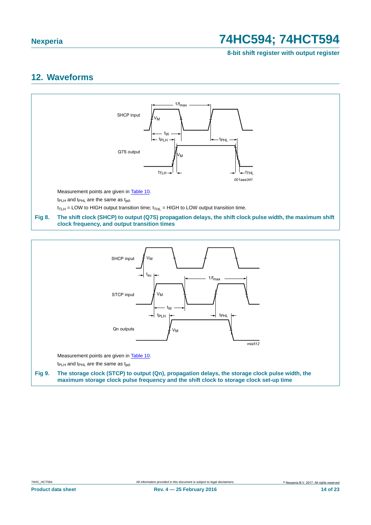**8-bit shift register with output register**

### <span id="page-13-2"></span>**12. Waveforms**



<span id="page-13-1"></span><span id="page-13-0"></span>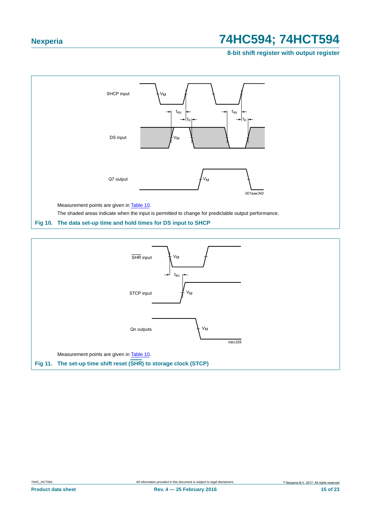**8-bit shift register with output register**



<span id="page-14-1"></span><span id="page-14-0"></span>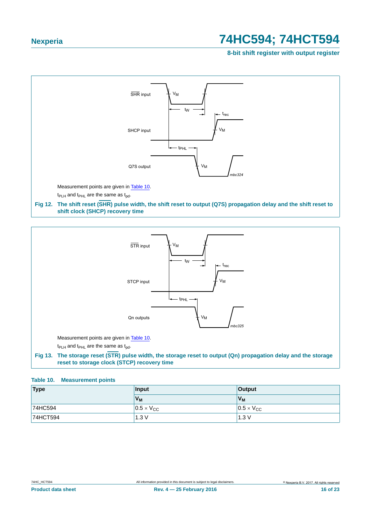**8-bit shift register with output register**



<span id="page-15-0"></span>**shift clock (SHCP) recovery time**



#### <span id="page-15-2"></span><span id="page-15-1"></span>**Table 10. Measurement points**

| Type     | Input               | <b>Output</b>       |  |
|----------|---------------------|---------------------|--|
|          | $V_M$               | $V_{M}$             |  |
| 74HC594  | $0.5 \times V_{CC}$ | $0.5 \times V_{CC}$ |  |
| 74HCT594 | 1.3V                | 1.3V                |  |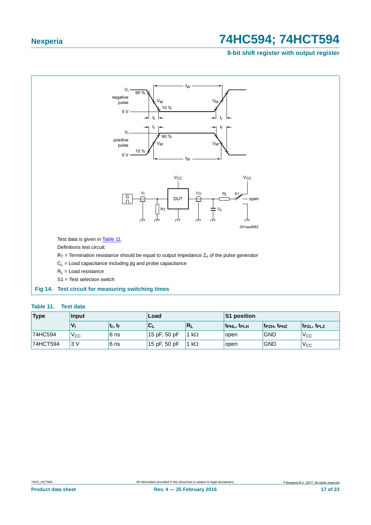### **8-bit shift register with output register**



#### <span id="page-16-1"></span><span id="page-16-0"></span>**Table 11. Test data**

| <b>Type</b> | ∣Input∶  |            | Load          |                           | S1 position       |                                     |                                     |  |
|-------------|----------|------------|---------------|---------------------------|-------------------|-------------------------------------|-------------------------------------|--|
|             |          | $t_r, t_f$ | ั∪∟           | $\mathbf{R}_{\mathsf{L}}$ | <b>TPHL, TPLH</b> | t <sub>PZH</sub> , t <sub>PHZ</sub> | t <sub>PZL</sub> , t <sub>PLZ</sub> |  |
| 74HC594     | $V_{CC}$ | 6 ns       | 15 pF, 50 pF  | $k\Omega$                 | open              | <b>GND</b>                          | V <sub>cc</sub>                     |  |
| 74HCT594    | 3V       | 6 ns       | '15 pF, 50 pF | $k\Omega$                 | open              | <b>GND</b>                          | V <sub>cc</sub>                     |  |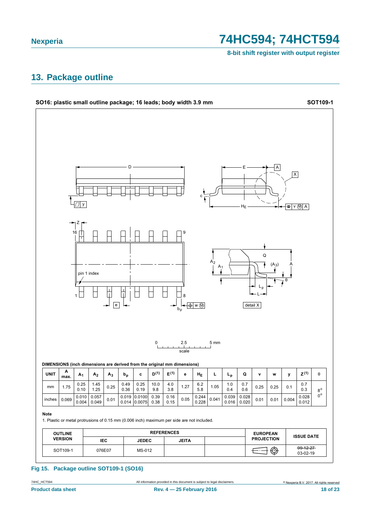**8-bit shift register with output register**

### <span id="page-17-0"></span>**13. Package outline**



#### **Fig 15. Package outline SOT109-1 (SO16)**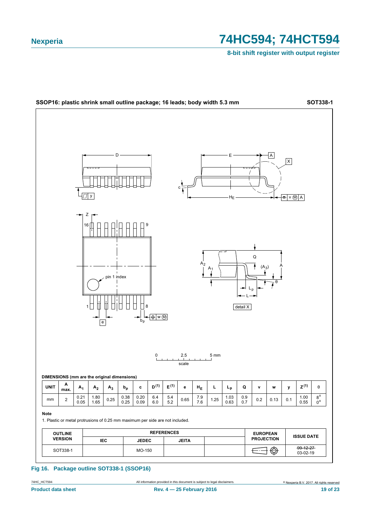**8-bit shift register with output register**



#### **Fig 16. Package outline SOT338-1 (SSOP16)**

74HC\_HCT594 All information provided in this document is subject to legal disclaimers.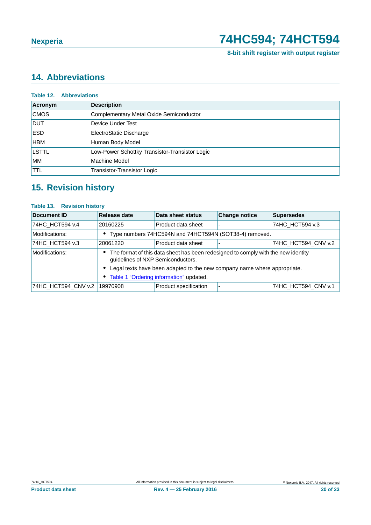**8-bit shift register with output register**

## <span id="page-19-0"></span>**14. Abbreviations**

| <b>Table 12. Abbreviations</b> |                                                |
|--------------------------------|------------------------------------------------|
| Acronym                        | <b>Description</b>                             |
| <b>CMOS</b>                    | Complementary Metal Oxide Semiconductor        |
| <b>DUT</b>                     | Device Under Test                              |
| <b>ESD</b>                     | ElectroStatic Discharge                        |
| <b>HBM</b>                     | Human Body Model                               |
| <b>LSTTL</b>                   | Low-Power Schottky Transistor-Transistor Logic |
| <b>MM</b>                      | Machine Model                                  |
| <b>TTL</b>                     | Transistor-Transistor Logic                    |

## <span id="page-19-1"></span>**15. Revision history**

#### **Table 13. Revision history**

| Document ID         | Release date                                                                                                           | Data sheet status                                      | <b>Change notice</b> | <b>Supersedes</b>   |  |
|---------------------|------------------------------------------------------------------------------------------------------------------------|--------------------------------------------------------|----------------------|---------------------|--|
| 74HC_HCT594 v.4     | 20160225                                                                                                               | Product data sheet                                     |                      | 74HC HCT594 v.3     |  |
| Modifications:      |                                                                                                                        | Type numbers 74HC594N and 74HCT594N (SOT38-4) removed. |                      |                     |  |
| 74HC_HCT594 v.3     | 20061220                                                                                                               | Product data sheet                                     |                      | 74HC HCT594 CNV v.2 |  |
| Modifications:      | The format of this data sheet has been redesigned to comply with the new identity<br>guidelines of NXP Semiconductors. |                                                        |                      |                     |  |
|                     | Legal texts have been adapted to the new company name where appropriate.                                               |                                                        |                      |                     |  |
|                     | Table 1 "Ordering information" updated.                                                                                |                                                        |                      |                     |  |
| 74HC HCT594 CNV v.2 | 19970908                                                                                                               | Product specification                                  |                      | 74HC HCT594 CNV v.1 |  |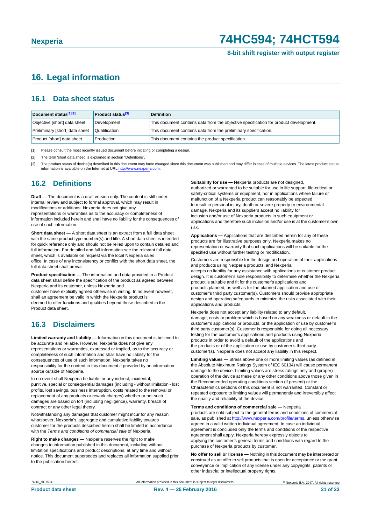**8-bit shift register with output register**

### <span id="page-20-3"></span>**16. Legal information**

### <span id="page-20-4"></span>**16.1 Data sheet status**

| Document status[1][2]          | <b>Product status</b> <sup>[3]</sup> | <b>Definition</b>                                                                     |
|--------------------------------|--------------------------------------|---------------------------------------------------------------------------------------|
| Objective [short] data sheet   | Development                          | This document contains data from the objective specification for product development. |
| Preliminary [short] data sheet | Qualification                        | This document contains data from the preliminary specification.                       |
| Product [short] data sheet     | Production                           | This document contains the product specification.                                     |

<span id="page-20-0"></span>[1] Please consult the most recently issued document before initiating or completing a design.

<span id="page-20-1"></span>[2] The term 'short data sheet' is explained in section "Definitions".

<span id="page-20-2"></span>[3] The product status of device(s) described in this document may have changed since this document was published and may differ in case of multiple devices. The latest product status<br>information is available on the Intern

### <span id="page-20-5"></span>**16.2 Definitions**

**Draft —** The document is a draft version only. The content is still under internal review and subject to formal approval, which may result in modifications or additions. Nexperia does not give any

representations or warranties as to the accuracy or completeness of information included herein and shall have no liability for the consequences of use of such information.

**Short data sheet —** A short data sheet is an extract from a full data sheet with the same product type number(s) and title. A short data sheet is intended for quick reference only and should not be relied upon to contain detailed and full information. For detailed and full information see the relevant full data sheet, which is available on request via the local Nexperia sales office. In case of any inconsistency or conflict with the short data sheet, the full data sheet shall prevail.

**Product specification —** The information and data provided in a Product data sheet shall define the specification of the product as agreed between Nexperia and its customer, unless Nexperia and

customer have explicitly agreed otherwise in writing. In no event however, shall an agreement be valid in which the Nexperia product is deemed to offer functions and qualities beyond those described in the Product data sheet.

### <span id="page-20-6"></span>**16.3 Disclaimers**

**Limited warranty and liability —** Information in this document is believed to be accurate and reliable. However, Nexperia does not give any representations or warranties, expressed or implied, as to the accuracy or completeness of such information and shall have no liability for the consequences of use of such information. Nexperia takes no responsibility for the content in this document if provided by an information source outside of Nexperia.

In no event shall Nexperia be liable for any indirect, incidental, punitive, special or consequential damages (including - without limitation - lost profits, lost savings, business interruption, costs related to the removal or replacement of any products or rework charges) whether or not such damages are based on tort (including negligence), warranty, breach of contract or any other legal theory.

Notwithstanding any damages that customer might incur for any reason whatsoever, Nexperia's aggregate and cumulative liability towards customer for the products described herein shall be limited in accordance with the *Terms and conditions of commercial sale* of Nexperia.

**Right to make changes —** Nexperia reserves the right to make changes to information published in this document, including without limitation specifications and product descriptions, at any time and without notice. This document supersedes and replaces all information supplied prior to the publication hereof.

**Suitability for use - Nexperia products are not designed** authorized or warranted to be suitable for use in life support, life-critical or safety-critical systems or equipment, nor in applications where failure or malfunction of a Nexperia product can reasonably be expected to result in personal injury, death or severe property or environmental damage. Nexperia and its suppliers accept no liability for inclusion and/or use of Nexperia products in such equipment or applications and therefore such inclusion and/or use is at the customer's own risk.

**Applications —** Applications that are described herein for any of these products are for illustrative purposes only. Nexperia makes no representation or warranty that such applications will be suitable for the specified use without further testing or modification.

Customers are responsible for the design and operation of their applications and products using Nexperia products, and Nexperia accepts no liability for any assistance with applications or customer product design. It is customer's sole responsibility to determine whether the Nexperia product is suitable and fit for the customer's applications and products planned, as well as for the planned application and use of customer's third party customer(s). Customers should provide appropriate design and operating safeguards to minimize the risks associated with their applications and products.

Nexperia does not accept any liability related to any default, damage, costs or problem which is based on any weakness or default in the customer's applications or products, or the application or use by customer's third party customer(s). Customer is responsible for doing all necessary testing for the customer's applications and products using Nexperia products in order to avoid a default of the applications and the products or of the application or use by customer's third party customer(s). Nexperia does not accept any liability in this respect.

**Limiting values —** Stress above one or more limiting values (as defined in the Absolute Maximum Ratings System of IEC 60134) will cause permanent damage to the device. Limiting values are stress ratings only and (proper) operation of the device at these or any other conditions above those given in the Recommended operating conditions section (if present) or the Characteristics sections of this document is not warranted. Constant or repeated exposure to limiting values will permanently and irreversibly affect the quality and reliability of the device.

**Terms and conditions of commercial sale —** Nexperia

products are sold subject to the general terms and conditions of commercial sale, as published at [http://www.nexperia.com/profile/te](http://www.nexperia.com/profile/terms)rms, unless otherwise agreed in a valid written individual agreement. In case an individual agreement is concluded only the terms and conditions of the respective agreement shall apply. Nexperia hereby expressly objects to applying the customer's general terms and conditions with regard to the purchase of Nexperia products by customer.

**No offer to sell or license —** Nothing in this document may be interpreted or construed as an offer to sell products that is open for acceptance or the grant, conveyance or implication of any license under any copyrights, patents or other industrial or intellectual property rights.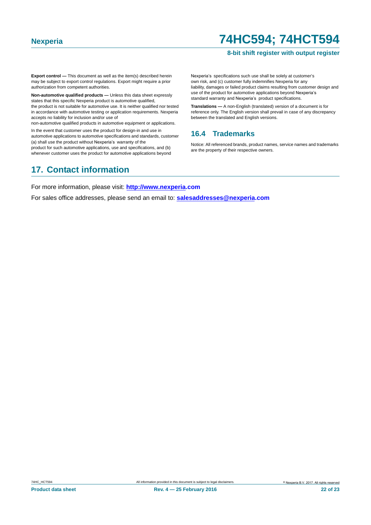#### **8-bit shift register with output register**

**Export control —** This document as well as the item(s) described herein may be subject to export control regulations. Export might require a prior authorization from competent authorities.

**Non-automotive qualified products —** Unless this data sheet expressly states that this specific Nexperia product is automotive qualified, the product is not suitable for automotive use. It is neither qualified nor tested in accordance with automotive testing or application requirements. Nexperia accepts no liability for inclusion and/or use of

non-automotive qualified products in automotive equipment or applications.

In the event that customer uses the product for design-in and use in automotive applications to automotive specifications and standards, customer (a) shall use the product without Nexperia's warranty of the

product for such automotive applications, use and specifications, and (b) whenever customer uses the product for automotive applications beyond Nexperia's specifications such use shall be solely at customer's own risk, and (c) customer fully indemnifies Nexperia for any liability, damages or failed product claims resulting from customer design and use of the product for automotive applications beyond Nexperia's standard warranty and Nexperia's product specifications.

**Translations —** A non-English (translated) version of a document is for reference only. The English version shall prevail in case of any discrepancy between the translated and English versions.

#### <span id="page-21-0"></span>**16.4 Trademarks**

Notice: All referenced brands, product names, service names and trademarks are the property of their respective owners.

### <span id="page-21-1"></span>**17. Contact information**

For more information, please visit: **http://www.nexperia.com**

For sales office addresses, please send an email to: **salesaddresses@nexperia.com**